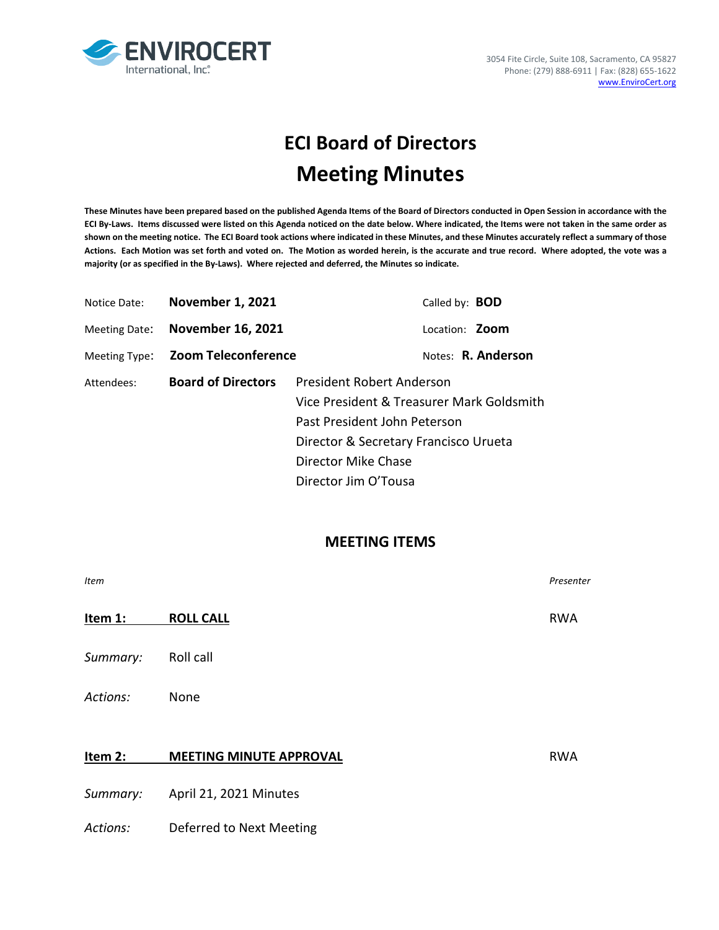

# **ECI Board of Directors Meeting Minutes**

**These Minutes have been prepared based on the published Agenda Items of the Board of Directors conducted in Open Session in accordance with the ECI By-Laws. Items discussed were listed on this Agenda noticed on the date below. Where indicated, the Items were not taken in the same order as shown on the meeting notice. The ECI Board took actions where indicated in these Minutes, and these Minutes accurately reflect a summary of those Actions. Each Motion was set forth and voted on. The Motion as worded herein, is the accurate and true record. Where adopted, the vote was a majority (or as specified in the By-Laws). Where rejected and deferred, the Minutes so indicate.**

| Notice Date:  | <b>November 1, 2021</b>    | Called by: <b>BOD</b>                     |  |  |
|---------------|----------------------------|-------------------------------------------|--|--|
| Meeting Date: | <b>November 16, 2021</b>   | Location: <b>Zoom</b>                     |  |  |
| Meeting Type: | <b>Zoom Teleconference</b> | Notes: R. Anderson                        |  |  |
| Attendees:    | <b>Board of Directors</b>  | President Robert Anderson                 |  |  |
|               |                            | Vice President & Treasurer Mark Goldsmith |  |  |
|               |                            | Past President John Peterson              |  |  |
|               |                            | Director & Secretary Francisco Urueta     |  |  |
|               |                            | Director Mike Chase                       |  |  |
|               |                            | Director Jim O'Tousa                      |  |  |

### **MEETING ITEMS**

| <b>Item</b> |                                | Presenter  |
|-------------|--------------------------------|------------|
| Item 1:     | <b>ROLL CALL</b>               | <b>RWA</b> |
| Summary:    | Roll call                      |            |
| Actions:    | None                           |            |
| Item 2:     | <b>MEETING MINUTE APPROVAL</b> | <b>RWA</b> |
| Summary:    | April 21, 2021 Minutes         |            |
| Actions:    | Deferred to Next Meeting       |            |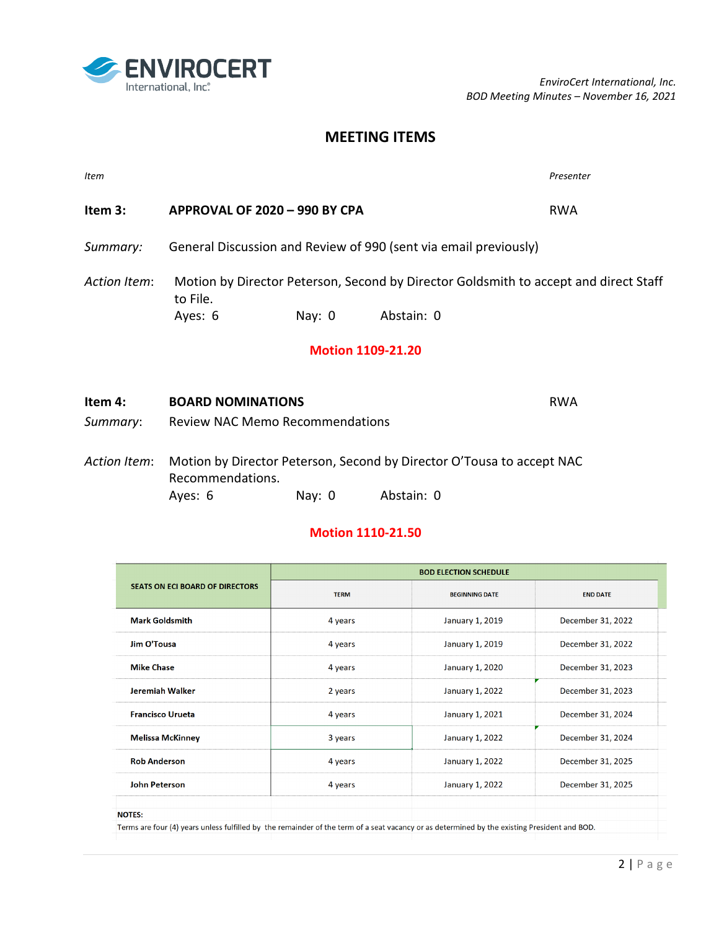

## **MEETING ITEMS**

| <b>Item</b>  |                                                                                                  |                                        |                                                                           | Presenter                                                             |
|--------------|--------------------------------------------------------------------------------------------------|----------------------------------------|---------------------------------------------------------------------------|-----------------------------------------------------------------------|
| Item 3:      | APPROVAL OF 2020 - 990 BY CPA                                                                    |                                        | <b>RWA</b>                                                                |                                                                       |
|              |                                                                                                  |                                        | Summary: General Discussion and Review of 990 (sent via email previously) |                                                                       |
| Action Item: | Motion by Director Peterson, Second by Director Goldsmith to accept and direct Staff<br>to File. |                                        |                                                                           |                                                                       |
|              | Ayes: 6                                                                                          | Nay: 0                                 | Abstain: 0                                                                |                                                                       |
|              |                                                                                                  |                                        | <b>Motion 1109-21.20</b>                                                  |                                                                       |
| Item 4:      | <b>BOARD NOMINATIONS</b>                                                                         |                                        |                                                                           | <b>RWA</b>                                                            |
| Summary:     |                                                                                                  | <b>Review NAC Memo Recommendations</b> |                                                                           |                                                                       |
| Action Item: | Recommendations.                                                                                 |                                        |                                                                           | Motion by Director Peterson, Second by Director O'Tousa to accept NAC |

Ayes: 6 Nay: 0 Abstain: 0

#### **Motion 1110-21.50**

|                                                                                                                                              | <b>BOD ELECTION SCHEDULE</b>         |                        |                   |  |
|----------------------------------------------------------------------------------------------------------------------------------------------|--------------------------------------|------------------------|-------------------|--|
| <b>SEATS ON ECI BOARD OF DIRECTORS</b>                                                                                                       | <b>TERM</b><br><b>BEGINNING DATE</b> |                        | <b>END DATE</b>   |  |
| <b>Mark Goldsmith</b>                                                                                                                        | 4 years                              | January 1, 2019        | December 31, 2022 |  |
| Jim O'Tousa                                                                                                                                  | 4 years                              | January 1, 2019        | December 31, 2022 |  |
| <b>Mike Chase</b>                                                                                                                            | 4 years                              | January 1, 2020        | December 31, 2023 |  |
| Jeremiah Walker                                                                                                                              | 2 years                              | January 1, 2022        | December 31, 2023 |  |
| <b>Francisco Urueta</b>                                                                                                                      | 4 years                              | January 1, 2021        | December 31, 2024 |  |
| <b>Melissa McKinney</b>                                                                                                                      | 3 years                              | <b>January 1, 2022</b> | December 31, 2024 |  |
| <b>Rob Anderson</b>                                                                                                                          | 4 years                              | January 1, 2022        | December 31, 2025 |  |
| John Peterson                                                                                                                                | 4 years                              | January 1, 2022        | December 31, 2025 |  |
| <b>NOTES:</b>                                                                                                                                |                                      |                        |                   |  |
| Terms are four (4) years unless fulfilled by the remainder of the term of a seat vacancy or as determined by the existing President and BOD. |                                      |                        |                   |  |